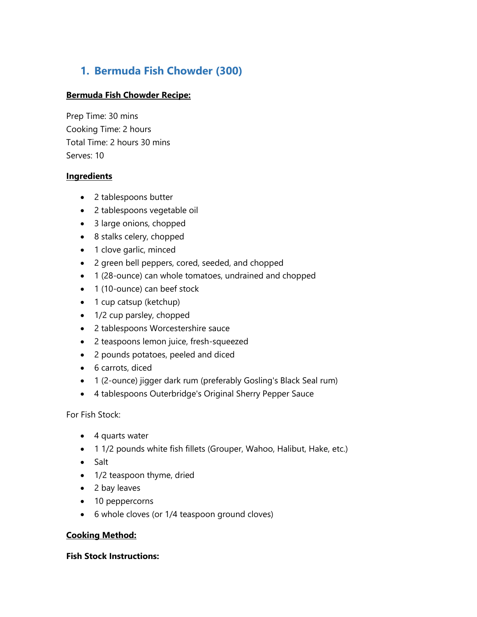# **1. Bermuda Fish Chowder (300)**

#### **Bermuda Fish Chowder Recipe:**

Prep Time: 30 mins Cooking Time: 2 hours Total Time: 2 hours 30 mins Serves: 10

#### **Ingredients**

- 2 tablespoons butter
- 2 tablespoons vegetable oil
- 3 large onions, chopped
- 8 stalks celery, chopped
- 1 clove garlic, minced
- 2 green bell peppers, cored, seeded, and chopped
- 1 (28-ounce) can whole tomatoes, undrained and chopped
- 1 (10-ounce) can beef stock
- 1 cup catsup (ketchup)
- 1/2 cup parsley, chopped
- 2 tablespoons Worcestershire sauce
- 2 teaspoons lemon juice, fresh-squeezed
- 2 pounds potatoes, peeled and diced
- 6 carrots, diced
- 1 (2-ounce) jigger dark rum (preferably Gosling's Black Seal rum)
- 4 tablespoons Outerbridge's Original Sherry Pepper Sauce

For Fish Stock:

- 4 quarts water
- 1 1/2 pounds white fish fillets (Grouper, Wahoo, Halibut, Hake, etc.)
- Salt
- 1/2 teaspoon thyme, dried
- 2 bay leaves
- 10 peppercorns
- 6 whole cloves (or 1/4 teaspoon ground cloves)

#### **Cooking Method:**

#### **Fish Stock Instructions:**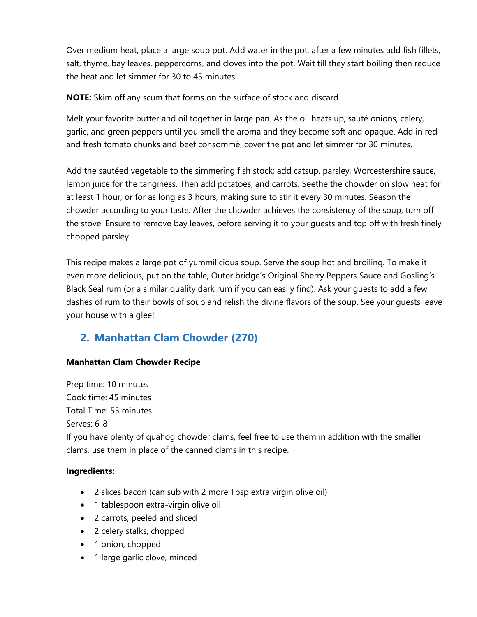Over medium heat, place a large soup pot. Add water in the pot, after a few minutes add fish fillets, salt, thyme, bay leaves, peppercorns, and cloves into the pot. Wait till they start boiling then reduce the heat and let simmer for 30 to 45 minutes.

**NOTE:** Skim off any scum that forms on the surface of stock and discard.

Melt your favorite butter and oil together in large pan. As the oil heats up, sauté onions, celery, garlic, and green peppers until you smell the aroma and they become soft and opaque. Add in red and fresh tomato chunks and beef consommé, cover the pot and let simmer for 30 minutes.

Add the sautéed vegetable to the simmering fish stock; add catsup, parsley, Worcestershire sauce, lemon juice for the tanginess. Then add potatoes, and carrots. Seethe the chowder on slow heat for at least 1 hour, or for as long as 3 hours, making sure to stir it every 30 minutes. Season the chowder according to your taste. After the chowder achieves the consistency of the soup, turn off the stove. Ensure to remove bay leaves, before serving it to your guests and top off with fresh finely chopped parsley.

This recipe makes a large pot of yummilicious soup. Serve the soup hot and broiling. To make it even more delicious, put on the table, Outer bridge's Original Sherry Peppers Sauce and Gosling's Black Seal rum (or a similar quality dark rum if you can easily find). Ask your guests to add a few dashes of rum to their bowls of soup and relish the divine flavors of the soup. See your guests leave your house with a glee!

# **2. Manhattan Clam Chowder (270)**

#### **Manhattan Clam Chowder Recipe**

Prep time: 10 minutes Cook time: 45 minutes Total Time: 55 minutes Serves: 6-8 If you have plenty of quahog chowder clams, feel free to use them in addition with the smaller clams, use them in place of the canned clams in this recipe.

- 2 slices bacon (can sub with 2 more Tbsp extra virgin olive oil)
- 1 tablespoon extra-virgin olive oil
- 2 carrots, peeled and sliced
- 2 celery stalks, chopped
- 1 onion, chopped
- 1 large garlic clove, minced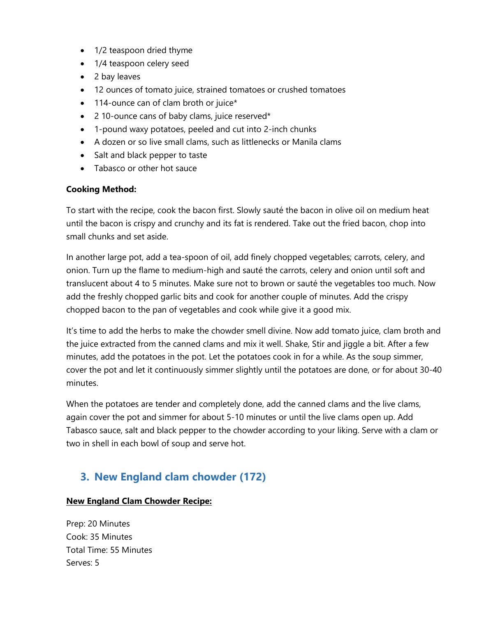- 1/2 teaspoon dried thyme
- 1/4 teaspoon celery seed
- 2 bay leaves
- 12 ounces of tomato juice, strained tomatoes or crushed tomatoes
- 114-ounce can of clam broth or juice\*
- 2 10-ounce cans of baby clams, juice reserved\*
- 1-pound waxy potatoes, peeled and cut into 2-inch chunks
- A dozen or so live small clams, such as littlenecks or Manila clams
- Salt and black pepper to taste
- Tabasco or other hot sauce

To start with the recipe, cook the bacon first. Slowly sauté the bacon in olive oil on medium heat until the bacon is crispy and crunchy and its fat is rendered. Take out the fried bacon, chop into small chunks and set aside.

In another large pot, add a tea-spoon of oil, add finely chopped vegetables; carrots, celery, and onion. Turn up the flame to medium-high and sauté the carrots, celery and onion until soft and translucent about 4 to 5 minutes. Make sure not to brown or sauté the vegetables too much. Now add the freshly chopped garlic bits and cook for another couple of minutes. Add the crispy chopped bacon to the pan of vegetables and cook while give it a good mix.

It's time to add the herbs to make the chowder smell divine. Now add tomato juice, clam broth and the juice extracted from the canned clams and mix it well. Shake, Stir and jiggle a bit. After a few minutes, add the potatoes in the pot. Let the potatoes cook in for a while. As the soup simmer, cover the pot and let it continuously simmer slightly until the potatoes are done, or for about 30-40 minutes.

When the potatoes are tender and completely done, add the canned clams and the live clams, again cover the pot and simmer for about 5-10 minutes or until the live clams open up. Add Tabasco sauce, salt and black pepper to the chowder according to your liking. Serve with a clam or two in shell in each bowl of soup and serve hot.

# **3. New England clam chowder (172)**

#### **New England Clam Chowder Recipe:**

Prep: 20 Minutes Cook: 35 Minutes Total Time: 55 Minutes Serves: 5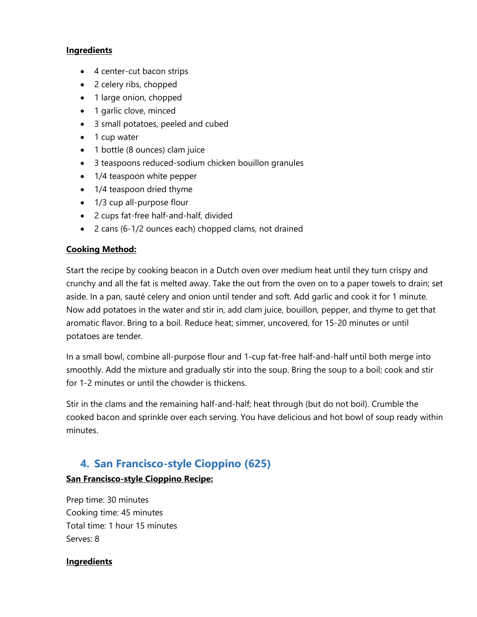#### **Ingredients**

- 4 center-cut bacon strips
- 2 celery ribs, chopped
- 1 large onion, chopped
- 1 garlic clove, minced
- 3 small potatoes, peeled and cubed
- 1 cup water
- 1 bottle (8 ounces) clam juice
- 3 teaspoons reduced-sodium chicken bouillon granules
- 1/4 teaspoon white pepper
- 1/4 teaspoon dried thyme
- 1/3 cup all-purpose flour
- 2 cups fat-free half-and-half, divided
- 2 cans (6-1/2 ounces each) chopped clams, not drained

#### **Cooking Method:**

Start the recipe by cooking beacon in a Dutch oven over medium heat until they turn crispy and crunchy and all the fat is melted away. Take the out from the oven on to a paper towels to drain; set aside. In a pan, sauté celery and onion until tender and soft. Add garlic and cook it for 1 minute. Now add potatoes in the water and stir in, add clam juice, bouillon, pepper, and thyme to get that aromatic flavor. Bring to a boil. Reduce heat; simmer, uncovered, for 15-20 minutes or until potatoes are tender.

In a small bowl, combine all-purpose flour and 1-cup fat-free half-and-half until both merge into smoothly. Add the mixture and gradually stir into the soup. Bring the soup to a boil; cook and stir for 1-2 minutes or until the chowder is thickens.

Stir in the clams and the remaining half-and-half; heat through (but do not boil). Crumble the cooked bacon and sprinkle over each serving. You have delicious and hot bowl of soup ready within minutes.

### **4. San Francisco-style Cioppino (625)**

#### **San Francisco-style Cioppino Recipe:**

Prep time: 30 minutes Cooking time: 45 minutes Total time: 1 hour 15 minutes Serves: 8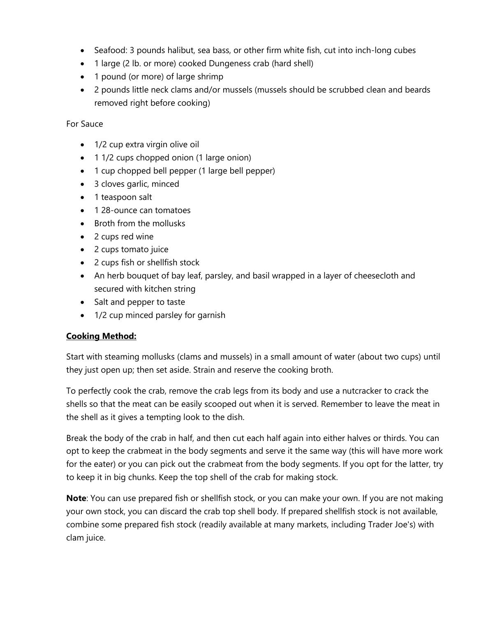- Seafood: 3 pounds halibut, sea bass, or other firm white fish, cut into inch-long cubes
- 1 large (2 lb. or more) cooked Dungeness crab (hard shell)
- 1 pound (or more) of large shrimp
- 2 pounds little neck clams and/or mussels (mussels should be scrubbed clean and beards removed right before cooking)

#### For Sauce

- 1/2 cup extra virgin olive oil
- 1 1/2 cups chopped onion (1 large onion)
- 1 cup chopped bell pepper (1 large bell pepper)
- 3 cloves garlic, minced
- 1 teaspoon salt
- 128-ounce can tomatoes
- Broth from the mollusks
- 2 cups red wine
- 2 cups tomato juice
- 2 cups fish or shellfish stock
- An herb bouquet of bay leaf, parsley, and basil wrapped in a layer of cheesecloth and secured with kitchen string
- Salt and pepper to taste
- 1/2 cup minced parsley for garnish

#### **Cooking Method:**

Start with steaming mollusks (clams and mussels) in a small amount of water (about two cups) until they just open up; then set aside. Strain and reserve the cooking broth.

To perfectly cook the crab, remove the crab legs from its body and use a nutcracker to crack the shells so that the meat can be easily scooped out when it is served. Remember to leave the meat in the shell as it gives a tempting look to the dish.

Break the body of the crab in half, and then cut each half again into either halves or thirds. You can opt to keep the crabmeat in the body segments and serve it the same way (this will have more work for the eater) or you can pick out the crabmeat from the body segments. If you opt for the latter, try to keep it in big chunks. Keep the top shell of the crab for making stock.

**Note**: You can use prepared fish or shellfish stock, or you can make your own. If you are not making your own stock, you can discard the crab top shell body. If prepared shellfish stock is not available, combine some prepared fish stock (readily available at many markets, including Trader Joe's) with clam juice.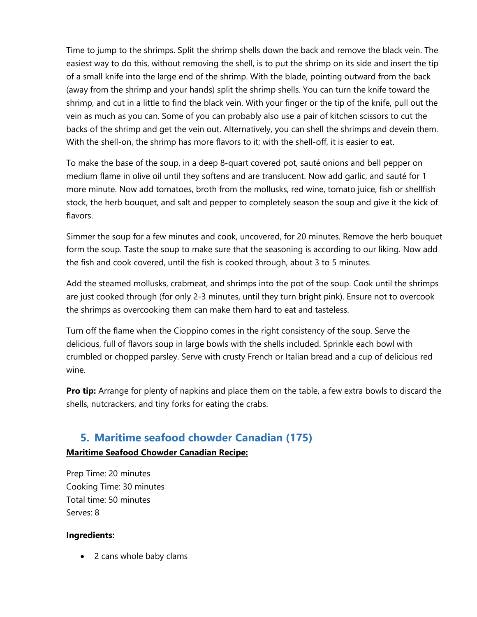Time to jump to the shrimps. Split the shrimp shells down the back and remove the black vein. The easiest way to do this, without removing the shell, is to put the shrimp on its side and insert the tip of a small knife into the large end of the shrimp. With the blade, pointing outward from the back (away from the shrimp and your hands) split the shrimp shells. You can turn the knife toward the shrimp, and cut in a little to find the black vein. With your finger or the tip of the knife, pull out the vein as much as you can. Some of you can probably also use a pair of kitchen scissors to cut the backs of the shrimp and get the vein out. Alternatively, you can shell the shrimps and devein them. With the shell-on, the shrimp has more flavors to it; with the shell-off, it is easier to eat.

To make the base of the soup, in a deep 8-quart covered pot, sauté onions and bell pepper on medium flame in olive oil until they softens and are translucent. Now add garlic, and sauté for 1 more minute. Now add tomatoes, broth from the mollusks, red wine, tomato juice, fish or shellfish stock, the herb bouquet, and salt and pepper to completely season the soup and give it the kick of flavors.

Simmer the soup for a few minutes and cook, uncovered, for 20 minutes. Remove the herb bouquet form the soup. Taste the soup to make sure that the seasoning is according to our liking. Now add the fish and cook covered, until the fish is cooked through, about 3 to 5 minutes.

Add the steamed mollusks, crabmeat, and shrimps into the pot of the soup. Cook until the shrimps are just cooked through (for only 2-3 minutes, until they turn bright pink). Ensure not to overcook the shrimps as overcooking them can make them hard to eat and tasteless.

Turn off the flame when the Cioppino comes in the right consistency of the soup. Serve the delicious, full of flavors soup in large bowls with the shells included. Sprinkle each bowl with crumbled or chopped parsley. Serve with crusty French or Italian bread and a cup of delicious red wine.

**Pro tip:** Arrange for plenty of napkins and place them on the table, a few extra bowls to discard the shells, nutcrackers, and tiny forks for eating the crabs.

### **5. Maritime seafood chowder Canadian (175)**

#### **Maritime Seafood Chowder Canadian Recipe:**

Prep Time: 20 minutes Cooking Time: 30 minutes Total time: 50 minutes Serves: 8

#### **Ingredients:**

• 2 cans whole baby clams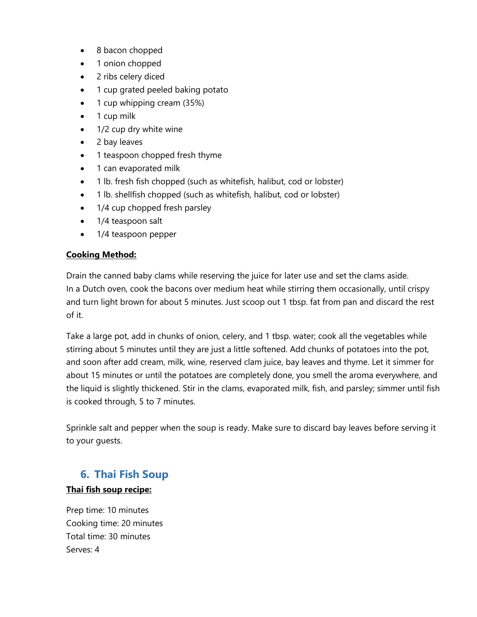- 8 bacon chopped
- 1 onion chopped
- 2 ribs celery diced
- 1 cup grated peeled baking potato
- 1 cup whipping cream (35%)
- 1 cup milk
- 1/2 cup dry white wine
- 2 bay leaves
- 1 teaspoon chopped fresh thyme
- 1 can evaporated milk
- 1 lb. fresh fish chopped (such as whitefish, halibut, cod or lobster)
- 1 lb. shellfish chopped (such as whitefish, halibut, cod or lobster)
- 1/4 cup chopped fresh parsley
- 1/4 teaspoon salt
- 1/4 teaspoon pepper

Drain the canned baby clams while reserving the juice for later use and set the clams aside. In a Dutch oven, cook the bacons over medium heat while stirring them occasionally, until crispy and turn light brown for about 5 minutes. Just scoop out 1 tbsp. fat from pan and discard the rest of it.

Take a large pot, add in chunks of onion, celery, and 1 tbsp. water; cook all the vegetables while stirring about 5 minutes until they are just a little softened. Add chunks of potatoes into the pot, and soon after add cream, milk, wine, reserved clam juice, bay leaves and thyme. Let it simmer for about 15 minutes or until the potatoes are completely done, you smell the aroma everywhere, and the liquid is slightly thickened. Stir in the clams, evaporated milk, fish, and parsley; simmer until fish is cooked through, 5 to 7 minutes.

Sprinkle salt and pepper when the soup is ready. Make sure to discard bay leaves before serving it to your guests.

# **6. Thai Fish Soup**

#### **Thai fish soup recipe:**

Prep time: 10 minutes Cooking time: 20 minutes Total time: 30 minutes Serves: 4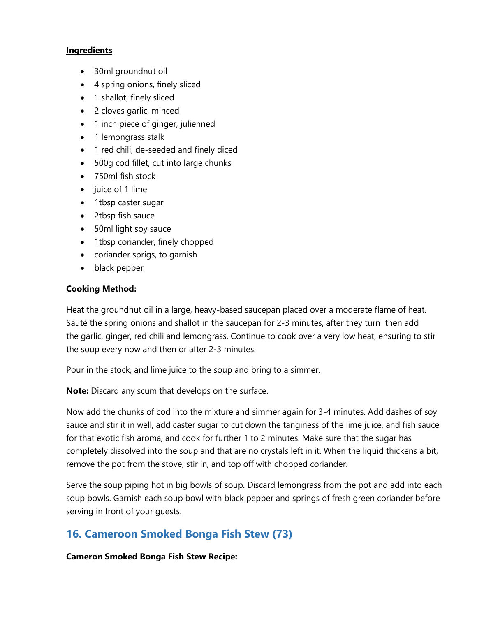#### **Ingredients**

- 30ml groundnut oil
- 4 spring onions, finely sliced
- 1 shallot, finely sliced
- 2 cloves garlic, minced
- 1 inch piece of ginger, julienned
- 1 lemongrass stalk
- 1 red chili, de-seeded and finely diced
- 500g cod fillet, cut into large chunks
- 750ml fish stock
- juice of 1 lime
- 1tbsp caster sugar
- 2tbsp fish sauce
- 50ml light soy sauce
- 1tbsp coriander, finely chopped
- coriander sprigs, to garnish
- black pepper

#### **Cooking Method:**

Heat the groundnut oil in a large, heavy-based saucepan placed over a moderate flame of heat. Sauté the spring onions and shallot in the saucepan for 2-3 minutes, after they turn then add the garlic, ginger, red chili and lemongrass. Continue to cook over a very low heat, ensuring to stir the soup every now and then or after 2-3 minutes.

Pour in the stock, and lime juice to the soup and bring to a simmer.

**Note:** Discard any scum that develops on the surface.

Now add the chunks of cod into the mixture and simmer again for 3-4 minutes. Add dashes of soy sauce and stir it in well, add caster sugar to cut down the tanginess of the lime juice, and fish sauce for that exotic fish aroma, and cook for further 1 to 2 minutes. Make sure that the sugar has completely dissolved into the soup and that are no crystals left in it. When the liquid thickens a bit, remove the pot from the stove, stir in, and top off with chopped coriander.

Serve the soup piping hot in big bowls of soup. Discard lemongrass from the pot and add into each soup bowls. Garnish each soup bowl with black pepper and springs of fresh green coriander before serving in front of your guests.

### **16. Cameroon Smoked Bonga Fish Stew (73)**

**Cameron Smoked Bonga Fish Stew Recipe:**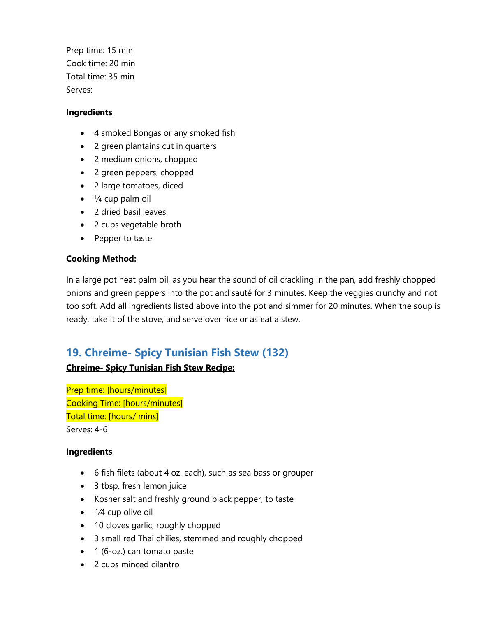Prep time: 15 min Cook time: 20 min Total time: 35 min Serves:

#### **Ingredients**

- 4 smoked Bongas or any smoked fish
- 2 green plantains cut in quarters
- 2 medium onions, chopped
- 2 green peppers, chopped
- 2 large tomatoes, diced
- $\bullet$   $\frac{1}{4}$  cup palm oil
- 2 dried basil leaves
- 2 cups vegetable broth
- Pepper to taste

#### **Cooking Method:**

In a large pot heat palm oil, as you hear the sound of oil crackling in the pan, add freshly chopped onions and green peppers into the pot and sauté for 3 minutes. Keep the veggies crunchy and not too soft. Add all ingredients listed above into the pot and simmer for 20 minutes. When the soup is ready, take it of the stove, and serve over rice or as eat a stew.

### **19. Chreime- Spicy Tunisian Fish Stew (132)**

#### **Chreime- Spicy Tunisian Fish Stew Recipe:**

Prep time: [hours/minutes] Cooking Time: [hours/minutes] Total time: [hours/ mins] Serves: 4-6

- 6 fish filets (about 4 oz. each), such as sea bass or grouper
- 3 tbsp. fresh lemon juice
- Kosher salt and freshly ground black pepper, to taste
- 1/4 cup olive oil
- 10 cloves garlic, roughly chopped
- 3 small red Thai chilies, stemmed and roughly chopped
- 1 (6-oz.) can tomato paste
- 2 cups minced cilantro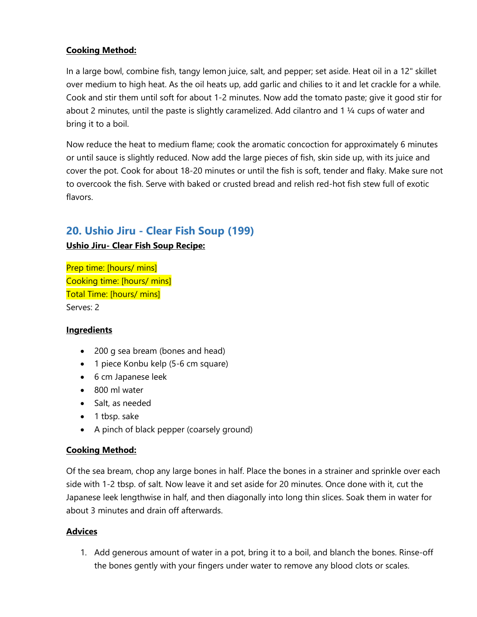In a large bowl, combine fish, tangy lemon juice, salt, and pepper; set aside. Heat oil in a 12" skillet over medium to high heat. As the oil heats up, add garlic and chilies to it and let crackle for a while. Cook and stir them until soft for about 1-2 minutes. Now add the tomato paste; give it good stir for about 2 minutes, until the paste is slightly caramelized. Add cilantro and 1 ¼ cups of water and bring it to a boil.

Now reduce the heat to medium flame; cook the aromatic concoction for approximately 6 minutes or until sauce is slightly reduced. Now add the large pieces of fish, skin side up, with its juice and cover the pot. Cook for about 18-20 minutes or until the fish is soft, tender and flaky. Make sure not to overcook the fish. Serve with baked or crusted bread and relish red-hot fish stew full of exotic flavors.

# **20. Ushio Jiru - Clear Fish Soup (199)**

#### **Ushio Jiru- Clear Fish Soup Recipe:**

```
Prep time: [hours/ mins]
Cooking time: [hours/ mins]
Total Time: [hours/ mins]
Serves: 2
```
#### **Ingredients**

- 200 g sea bream (bones and head)
- 1 piece Konbu kelp (5-6 cm square)
- 6 cm Japanese leek
- 800 ml water
- Salt, as needed
- 1 tbsp. sake
- A pinch of black pepper (coarsely ground)

#### **Cooking Method:**

Of the sea bream, chop any large bones in half. Place the bones in a strainer and sprinkle over each side with 1-2 tbsp. of salt. Now leave it and set aside for 20 minutes. Once done with it, cut the Japanese leek lengthwise in half, and then diagonally into long thin slices. Soak them in water for about 3 minutes and drain off afterwards.

#### **Advices**

1. Add generous amount of water in a pot, bring it to a boil, and blanch the bones. Rinse-off the bones gently with your fingers under water to remove any blood clots or scales.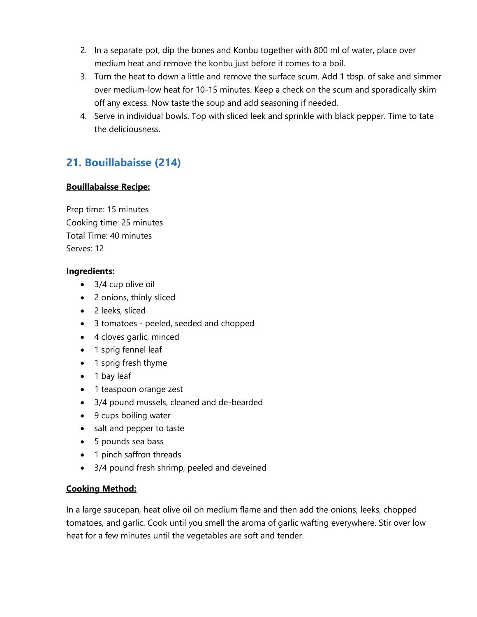- 2. In a separate pot, dip the bones and Konbu together with 800 ml of water, place over medium heat and remove the konbu just before it comes to a boil.
- 3. Turn the heat to down a little and remove the surface scum. Add 1 tbsp. of sake and simmer over medium-low heat for 10-15 minutes. Keep a check on the scum and sporadically skim off any excess. Now taste the soup and add seasoning if needed.
- 4. Serve in individual bowls. Top with sliced leek and sprinkle with black pepper. Time to tate the deliciousness.

# **21. Bouillabaisse (214)**

#### **Bouillabaisse Recipe:**

Prep time: 15 minutes Cooking time: 25 minutes Total Time: 40 minutes Serves: 12

#### **Ingredients:**

- 3/4 cup olive oil
- 2 onions, thinly sliced
- 2 leeks, sliced
- 3 tomatoes peeled, seeded and chopped
- 4 cloves garlic, minced
- 1 sprig fennel leaf
- 1 sprig fresh thyme
- 1 bay leaf
- 1 teaspoon orange zest
- 3/4 pound mussels, cleaned and de-bearded
- 9 cups boiling water
- salt and pepper to taste
- 5 pounds sea bass
- 1 pinch saffron threads
- 3/4 pound fresh shrimp, peeled and deveined

#### **Cooking Method:**

In a large saucepan, heat olive oil on medium flame and then add the onions, leeks, chopped tomatoes, and garlic. Cook until you smell the aroma of garlic wafting everywhere. Stir over low heat for a few minutes until the vegetables are soft and tender.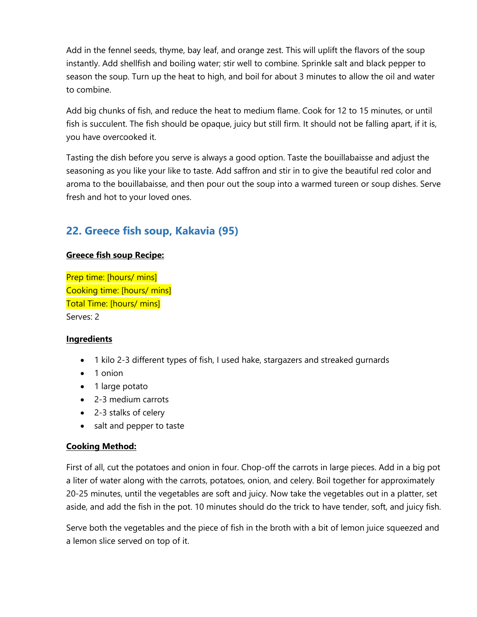Add in the fennel seeds, thyme, bay leaf, and orange zest. This will uplift the flavors of the soup instantly. Add shellfish and boiling water; stir well to combine. Sprinkle salt and black pepper to season the soup. Turn up the heat to high, and boil for about 3 minutes to allow the oil and water to combine.

Add big chunks of fish, and reduce the heat to medium flame. Cook for 12 to 15 minutes, or until fish is succulent. The fish should be opaque, juicy but still firm. It should not be falling apart, if it is, you have overcooked it.

Tasting the dish before you serve is always a good option. Taste the bouillabaisse and adjust the seasoning as you like your like to taste. Add saffron and stir in to give the beautiful red color and aroma to the bouillabaisse, and then pour out the soup into a warmed tureen or soup dishes. Serve fresh and hot to your loved ones.

# **22. Greece fish soup, Kakavia (95)**

#### **Greece fish soup Recipe:**

Prep time: [hours/ mins] Cooking time: [hours/ mins] Total Time: [hours/ mins] Serves: 2

#### **Ingredients**

- 1 kilo 2-3 different types of fish, I used hake, stargazers and streaked gurnards
- 1 onion
- 1 large potato
- 2-3 medium carrots
- 2-3 stalks of celery
- salt and pepper to taste

#### **Cooking Method:**

First of all, cut the potatoes and onion in four. Chop-off the carrots in large pieces. Add in a big pot a liter of water along with the carrots, potatoes, onion, and celery. Boil together for approximately 20-25 minutes, until the vegetables are soft and juicy. Now take the vegetables out in a platter, set aside, and add the fish in the pot. 10 minutes should do the trick to have tender, soft, and juicy fish.

Serve both the vegetables and the piece of fish in the broth with a bit of lemon juice squeezed and a lemon slice served on top of it.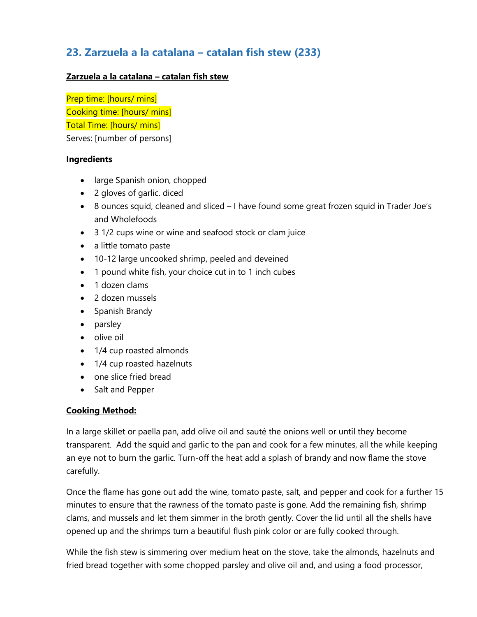# **23. Zarzuela a la catalana – catalan fish stew (233)**

#### **Zarzuela a la catalana – catalan fish stew**

Prep time: [hours/ mins] Cooking time: [hours/ mins] Total Time: [hours/ mins] Serves: [number of persons]

#### **Ingredients**

- large Spanish onion, chopped
- 2 gloves of garlic. diced
- 8 ounces squid, cleaned and sliced I have found some great frozen squid in Trader Joe's and Wholefoods
- 3 1/2 cups wine or wine and seafood stock or clam juice
- a little tomato paste
- 10-12 large uncooked shrimp, peeled and deveined
- 1 pound white fish, your choice cut in to 1 inch cubes
- 1 dozen clams
- 2 dozen mussels
- Spanish Brandy
- parsley
- olive oil
- 1/4 cup roasted almonds
- 1/4 cup roasted hazelnuts
- one slice fried bread
- Salt and Pepper

#### **Cooking Method:**

In a large skillet or paella pan, add olive oil and sauté the onions well or until they become transparent. Add the squid and garlic to the pan and cook for a few minutes, all the while keeping an eye not to burn the garlic. Turn-off the heat add a splash of brandy and now flame the stove carefully.

Once the flame has gone out add the wine, tomato paste, salt, and pepper and cook for a further 15 minutes to ensure that the rawness of the tomato paste is gone. Add the remaining fish, shrimp clams, and mussels and let them simmer in the broth gently. Cover the lid until all the shells have opened up and the shrimps turn a beautiful flush pink color or are fully cooked through.

While the fish stew is simmering over medium heat on the stove, take the almonds, hazelnuts and fried bread together with some chopped parsley and olive oil and, and using a food processor,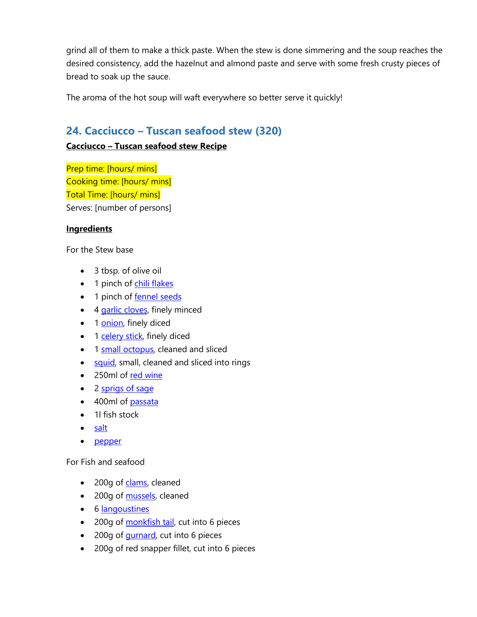grind all of them to make a thick paste. When the stew is done simmering and the soup reaches the desired consistency, add the hazelnut and almond paste and serve with some fresh crusty pieces of bread to soak up the sauce.

The aroma of the hot soup will waft everywhere so better serve it quickly!

### **24. Cacciucco – Tuscan seafood stew (320)**

#### **Cacciucco – Tuscan seafood stew Recipe**

Prep time: [hours/ mins] Cooking time: [hours/ mins] Total Time: [hours/ mins] Serves: [number of persons]

#### **Ingredients**

For the Stew base

- 3 tbsp. of olive oil
- 1 pinch of [chili flakes](https://www.greatbritishchefs.com/ingredients/chilli-recipes)
- 1 pinch of [fennel seeds](https://www.greatbritishchefs.com/ingredients/fennel-seed-recipes)
- 4 [garlic cloves,](https://www.greatbritishchefs.com/ingredients/garlic-recipes) finely minced
- 1 [onion,](https://www.greatbritishchefs.com/ingredients/onion-recipes) finely diced
- 1 [celery stick,](https://www.greatbritishchefs.com/ingredients/celery-recipes) finely diced
- 1 [small octopus,](https://www.greatitalianchefs.com/collections/octopus-recipes) cleaned and sliced
- [squid,](https://www.greatbritishchefs.com/ingredients/squid-recipes) small, cleaned and sliced into rings
- 250ml of [red wine](https://www.greatbritishchefs.com/ingredients/red-wine-recipes)
- 2 [sprigs of sage](https://www.greatbritishchefs.com/ingredients/sage-recipes)
- 400ml of [passata](https://www.greatbritishchefs.com/ingredients/tomato-recipes)
- 1l fish stock
- [salt](https://www.greatbritishchefs.com/ingredients/salt-recipes)
- [pepper](https://www.greatbritishchefs.com/ingredients/peppercorn-recipes)

#### For Fish and seafood

- 200g of [clams,](https://www.greatitalianchefs.com/collections/clam-recipes) cleaned
- 200g of [mussels,](https://www.greatbritishchefs.com/ingredients/mussels-recipes) cleaned
- 6 [langoustines](https://www.greatitalianchefs.com/collections/langoustine-recipes)
- 200g of [monkfish tail,](https://www.greatbritishchefs.com/ingredients/monkfish-recipes) cut into 6 pieces
- 200g of [gurnard,](https://www.greatbritishchefs.com/ingredients/gurnard-recipes) cut into 6 pieces
- 200g of red snapper fillet, cut into 6 pieces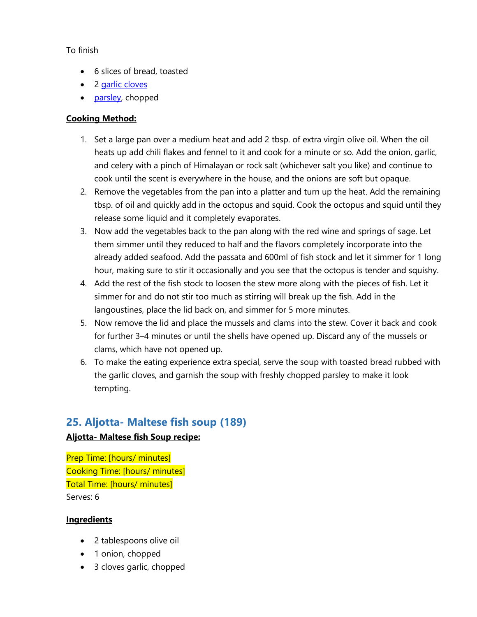#### To finish

- 6 slices of bread, toasted
- 2 [garlic cloves](https://www.greatbritishchefs.com/ingredients/garlic-recipes)
- [parsley,](https://www.greatbritishchefs.com/ingredients/parsley-recipes) chopped

#### **Cooking Method:**

- 1. Set a large pan over a medium heat and add 2 tbsp. of extra virgin olive oil. When the oil heats up add chili flakes and fennel to it and cook for a minute or so. Add the onion, garlic, and celery with a pinch of Himalayan or rock salt (whichever salt you like) and continue to cook until the scent is everywhere in the house, and the onions are soft but opaque.
- 2. Remove the vegetables from the pan into a platter and turn up the heat. Add the remaining tbsp. of oil and quickly add in the octopus and squid. Cook the octopus and squid until they release some liquid and it completely evaporates.
- 3. Now add the vegetables back to the pan along with the red wine and springs of sage. Let them simmer until they reduced to half and the flavors completely incorporate into the already added seafood. Add the passata and 600ml of fish stock and let it simmer for 1 long hour, making sure to stir it occasionally and you see that the octopus is tender and squishy.
- 4. Add the rest of the fish stock to loosen the stew more along with the pieces of fish. Let it simmer for and do not stir too much as stirring will break up the fish. Add in the langoustines, place the lid back on, and simmer for 5 more minutes.
- 5. Now remove the lid and place the mussels and clams into the stew. Cover it back and cook for further 3–4 minutes or until the shells have opened up. Discard any of the mussels or clams, which have not opened up.
- 6. To make the eating experience extra special, serve the soup with toasted bread rubbed with the garlic cloves, and garnish the soup with freshly chopped parsley to make it look tempting.

### **25. Aljotta- Maltese fish soup (189)**

#### **Aljotta- Maltese fish Soup recipe:**

Prep Time: [hours/ minutes] Cooking Time: [hours/ minutes] Total Time: [hours/ minutes] Serves: 6

- 2 tablespoons olive oil
- 1 onion, chopped
- 3 cloves garlic, chopped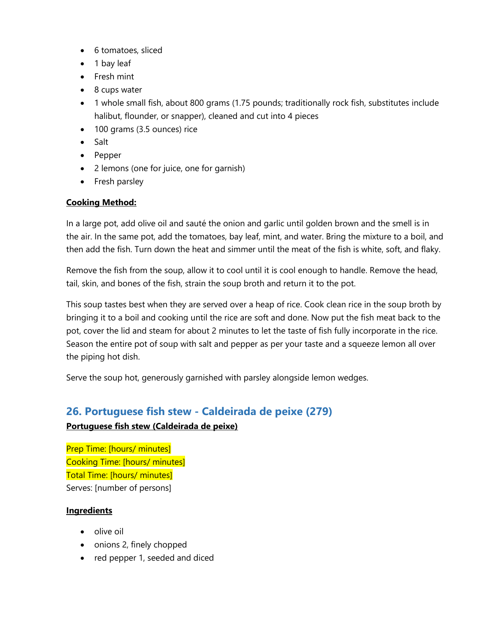- 6 tomatoes, sliced
- 1 bay leaf
- Fresh mint
- 8 cups water
- 1 whole small fish, about 800 grams (1.75 pounds; traditionally rock fish, substitutes include halibut, flounder, or snapper), cleaned and cut into 4 pieces
- 100 grams (3.5 ounces) rice
- Salt
- Pepper
- 2 lemons (one for juice, one for garnish)
- Fresh parsley

In a large pot, add olive oil and sauté the onion and garlic until golden brown and the smell is in the air. In the same pot, add the tomatoes, bay leaf, mint, and water. Bring the mixture to a boil, and then add the fish. Turn down the heat and simmer until the meat of the fish is white, soft, and flaky.

Remove the fish from the soup, allow it to cool until it is cool enough to handle. Remove the head, tail, skin, and bones of the fish, strain the soup broth and return it to the pot.

This soup tastes best when they are served over a heap of rice. Cook clean rice in the soup broth by bringing it to a boil and cooking until the rice are soft and done. Now put the fish meat back to the pot, cover the lid and steam for about 2 minutes to let the taste of fish fully incorporate in the rice. Season the entire pot of soup with salt and pepper as per your taste and a squeeze lemon all over the piping hot dish.

Serve the soup hot, generously garnished with parsley alongside lemon wedges.

### **26. Portuguese fish stew - Caldeirada de peixe (279)**

#### **Portuguese fish stew (Caldeirada de peixe)**

Prep Time: [hours/ minutes] Cooking Time: [hours/ minutes] Total Time: [hours/ minutes] Serves: [number of persons]

- olive oil
- onions 2, finely chopped
- red pepper 1, seeded and diced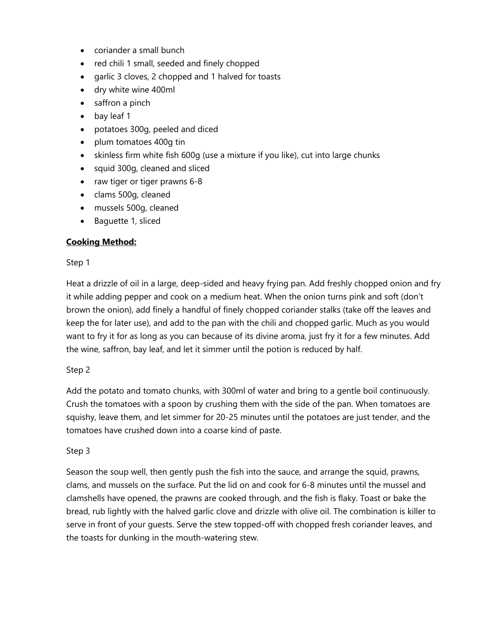- coriander a small bunch
- red chili 1 small, seeded and finely chopped
- garlic 3 cloves, 2 chopped and 1 halved for toasts
- dry white wine 400ml
- saffron a pinch
- bay leaf 1
- potatoes 300g, peeled and diced
- plum tomatoes 400g tin
- skinless firm white fish 600g (use a mixture if you like), cut into large chunks
- squid 300g, cleaned and sliced
- raw tiger or tiger prawns 6-8
- clams 500g, cleaned
- mussels 500g, cleaned
- Baguette 1, sliced

#### Step 1

Heat a drizzle of oil in a large, deep-sided and heavy frying pan. Add freshly chopped onion and fry it while adding pepper and cook on a medium heat. When the onion turns pink and soft (don't brown the onion), add finely a handful of finely chopped coriander stalks (take off the leaves and keep the for later use), and add to the pan with the chili and chopped garlic. Much as you would want to fry it for as long as you can because of its divine aroma, just fry it for a few minutes. Add the wine, saffron, bay leaf, and let it simmer until the potion is reduced by half.

#### Step 2

Add the potato and tomato chunks, with 300ml of water and bring to a gentle boil continuously. Crush the tomatoes with a spoon by crushing them with the side of the pan. When tomatoes are squishy, leave them, and let simmer for 20-25 minutes until the potatoes are just tender, and the tomatoes have crushed down into a coarse kind of paste.

#### Step 3

Season the soup well, then gently push the fish into the sauce, and arrange the squid, prawns, clams, and mussels on the surface. Put the lid on and cook for 6-8 minutes until the mussel and clamshells have opened, the prawns are cooked through, and the fish is flaky. Toast or bake the bread, rub lightly with the halved garlic clove and drizzle with olive oil. The combination is killer to serve in front of your guests. Serve the stew topped-off with chopped fresh coriander leaves, and the toasts for dunking in the mouth-watering stew.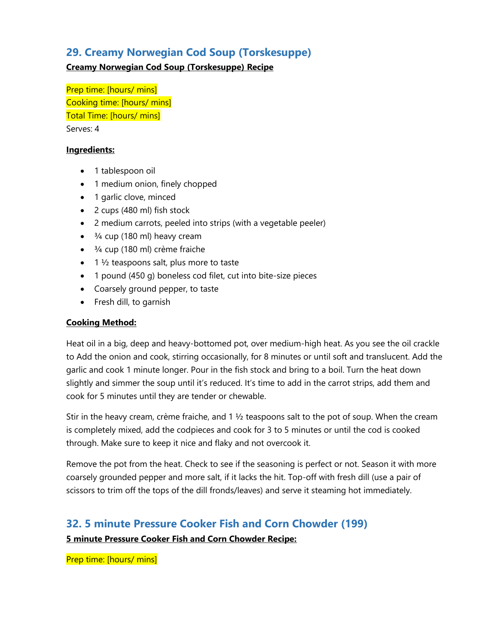### **29. Creamy Norwegian Cod Soup (Torskesuppe)**

#### **Creamy Norwegian Cod Soup (Torskesuppe) Recipe**

Prep time: [hours/ mins] Cooking time: [hours/ mins] Total Time: [hours/ mins] Serves: 4

#### **Ingredients:**

- 1 tablespoon oil
- 1 medium onion, finely chopped
- 1 garlic clove, minced
- 2 cups (480 ml) fish stock
- 2 medium carrots, peeled into strips (with a vegetable peeler)
- $\bullet$   $\frac{3}{4}$  cup (180 ml) heavy cream
- $\bullet$   $\frac{3}{4}$  cup (180 ml) crème fraiche
- $\bullet$  1  $\frac{1}{2}$  teaspoons salt, plus more to taste
- 1 pound (450 g) boneless cod filet, cut into bite-size pieces
- Coarsely ground pepper, to taste
- Fresh dill, to garnish

#### **Cooking Method:**

Heat oil in a big, deep and heavy-bottomed pot, over medium-high heat. As you see the oil crackle to Add the onion and cook, stirring occasionally, for 8 minutes or until soft and translucent. Add the garlic and cook 1 minute longer. Pour in the fish stock and bring to a boil. Turn the heat down slightly and simmer the soup until it's reduced. It's time to add in the carrot strips, add them and cook for 5 minutes until they are tender or chewable.

Stir in the heavy cream, crème fraiche, and 1 ½ teaspoons salt to the pot of soup. When the cream is completely mixed, add the codpieces and cook for 3 to 5 minutes or until the cod is cooked through. Make sure to keep it nice and flaky and not overcook it.

Remove the pot from the heat. Check to see if the seasoning is perfect or not. Season it with more coarsely grounded pepper and more salt, if it lacks the hit. Top-off with fresh dill (use a pair of scissors to trim off the tops of the dill fronds/leaves) and serve it steaming hot immediately.

# **32. 5 minute Pressure Cooker Fish and Corn Chowder (199)**

**5 minute Pressure Cooker Fish and Corn Chowder Recipe:** 

Prep time: [hours/ mins]